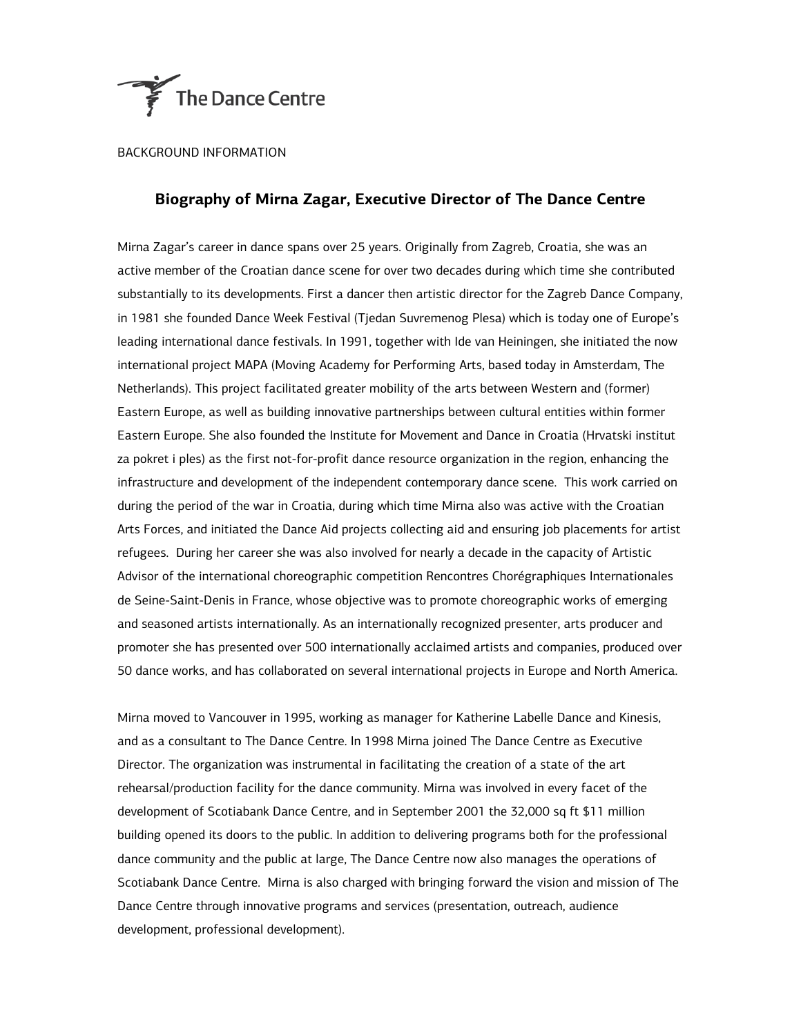

BACKGROUND INFORMATION

## **Biography of Mirna Zagar, Executive Director of The Dance Centre**

Mirna Zagar's career in dance spans over 25 years. Originally from Zagreb, Croatia, she was an active member of the Croatian dance scene for over two decades during which time she contributed substantially to its developments. First a dancer then artistic director for the Zagreb Dance Company, in 1981 she founded Dance Week Festival (Tjedan Suvremenog Plesa) which is today one of Europe's leading international dance festivals. In 1991, together with Ide van Heiningen, she initiated the now international project MAPA (Moving Academy for Performing Arts, based today in Amsterdam, The Netherlands). This project facilitated greater mobility of the arts between Western and (former) Eastern Europe, as well as building innovative partnerships between cultural entities within former Eastern Europe. She also founded the Institute for Movement and Dance in Croatia (Hrvatski institut za pokret i ples) as the first not-for-profit dance resource organization in the region, enhancing the infrastructure and development of the independent contemporary dance scene. This work carried on during the period of the war in Croatia, during which time Mirna also was active with the Croatian Arts Forces, and initiated the Dance Aid projects collecting aid and ensuring job placements for artist refugees. During her career she was also involved for nearly a decade in the capacity of Artistic Advisor of the international choreographic competition Rencontres Chorégraphiques Internationales de Seine-Saint-Denis in France, whose objective was to promote choreographic works of emerging and seasoned artists internationally. As an internationally recognized presenter, arts producer and promoter she has presented over 500 internationally acclaimed artists and companies, produced over 50 dance works, and has collaborated on several international projects in Europe and North America.

Mirna moved to Vancouver in 1995, working as manager for Katherine Labelle Dance and Kinesis, and as a consultant to The Dance Centre. In 1998 Mirna joined The Dance Centre as Executive Director. The organization was instrumental in facilitating the creation of a state of the art rehearsal/production facility for the dance community. Mirna was involved in every facet of the development of Scotiabank Dance Centre, and in September 2001 the 32,000 sq ft \$11 million building opened its doors to the public. In addition to delivering programs both for the professional dance community and the public at large, The Dance Centre now also manages the operations of Scotiabank Dance Centre. Mirna is also charged with bringing forward the vision and mission of The Dance Centre through innovative programs and services (presentation, outreach, audience development, professional development).